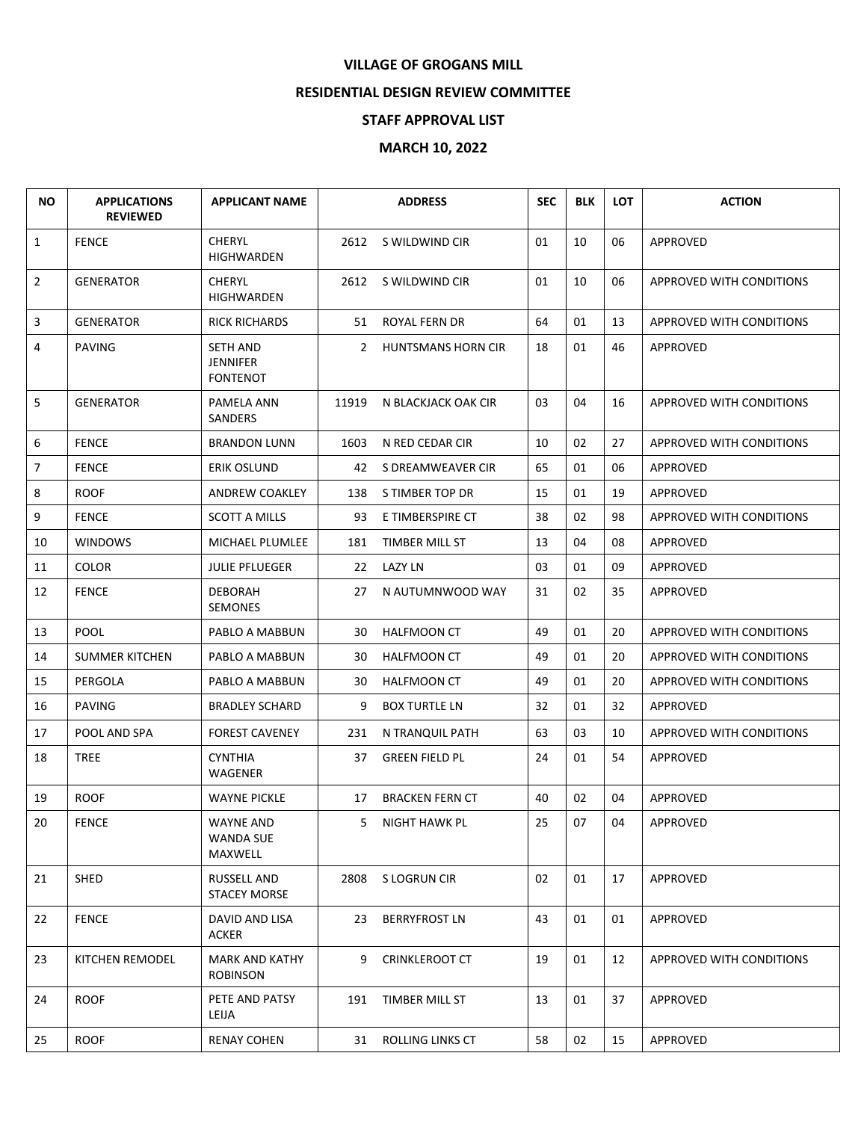## **VILLAGE OF GROGANS MILL**

## **RESIDENTIAL DESIGN REVIEW COMMITTEE**

## **STAFF APPROVAL LIST**

## **MARCH 10, 2022**

| <b>NO</b>       | <b>APPLICATIONS</b><br><b>REVIEWED</b> | <b>APPLICANT NAME</b>                    |       | <b>ADDRESS</b>         | <b>SEC</b> | <b>BLK</b> | <b>LOT</b> | <b>ACTION</b>                   |
|-----------------|----------------------------------------|------------------------------------------|-------|------------------------|------------|------------|------------|---------------------------------|
| 1               | <b>FENCE</b>                           | <b>CHERYL</b><br><b>HIGHWARDEN</b>       | 2612  | S WILDWIND CIR         | 01         | 10         | 06         | <b>APPROVED</b>                 |
| 2               | <b>GENERATOR</b>                       | <b>CHERYL</b><br>HIGHWARDEN              | 2612  | S WILDWIND CIR         | 01         | 10         | 06         | <b>APPROVED WITH CONDITIONS</b> |
| 3               | <b>GENERATOR</b>                       | <b>RICK RICHARDS</b>                     | 51    | ROYAL FERN DR          | 64         | 01         | 13         | APPROVED WITH CONDITIONS        |
| 4               | <b>PAVING</b>                          | SETH AND<br>JENNIFER<br><b>FONTENOT</b>  |       | 2 HUNTSMANS HORN CIR   | 18         | 01         | 46         | APPROVED                        |
| 5               | <b>GENERATOR</b>                       | PAMELA ANN<br>SANDERS                    | 11919 | N BLACKJACK OAK CIR    | 03         | 04         | 16         | APPROVED WITH CONDITIONS        |
| 6               | <b>FENCE</b>                           | <b>BRANDON LUNN</b>                      | 1603  | N RED CEDAR CIR        | 10         | 02         | 27         | APPROVED WITH CONDITIONS        |
| 7               | <b>FENCE</b>                           | ERIK OSLUND                              | 42    | S DREAMWEAVER CIR      | 65         | 01         | 06         | <b>APPROVED</b>                 |
| 8               | <b>ROOF</b>                            | ANDREW COAKLEY                           | 138   | S TIMBER TOP DR        | 15         | 01         | 19         | APPROVED                        |
| 9               | <b>FENCE</b>                           | <b>SCOTT A MILLS</b>                     | 93    | E TIMBERSPIRE CT       | 38         | 02         | 98         | <b>APPROVED WITH CONDITIONS</b> |
| 10              | <b>WINDOWS</b>                         | MICHAEL PLUMLEE                          | 181   | TIMBER MILL ST         | 13         | 04         | 08         | APPROVED                        |
| 11              | <b>COLOR</b>                           | <b>JULIE PFLUEGER</b>                    | 22    | <b>LAZY LN</b>         | 03         | 01         | 09         | APPROVED                        |
| 12              | <b>FENCE</b>                           | <b>DEBORAH</b><br><b>SEMONES</b>         | 27    | N AUTUMNWOOD WAY       | 31         | 02         | 35         | APPROVED                        |
| 13              | <b>POOL</b>                            | PABLO A MABBUN                           | 30    | <b>HALFMOON CT</b>     | 49         | 01         | 20         | APPROVED WITH CONDITIONS        |
| 14              | <b>SUMMER KITCHEN</b>                  | PABLO A MABBUN                           | 30    | HALFMOON CT            | 49         | 01         | 20         | APPROVED WITH CONDITIONS        |
| 15              | PERGOLA                                | PABLO A MABBUN                           | 30    | <b>HALFMOON CT</b>     | 49         | 01         | 20         | APPROVED WITH CONDITIONS        |
| 16              | <b>PAVING</b>                          | <b>BRADLEY SCHARD</b>                    | 9     | <b>BOX TURTLE LN</b>   | 32         | 01         | 32         | APPROVED                        |
| 17              | POOL AND SPA                           | <b>FOREST CAVENEY</b>                    | 231   | N TRANQUIL PATH        | 63         | 03         | 10         | APPROVED WITH CONDITIONS        |
| 18              | <b>TREE</b>                            | CYNTHIA<br>WAGENER                       | 37    | <b>GREEN FIELD PL</b>  | 24         | 01         | 54         | <b>APPROVED</b>                 |
| 19              | <b>ROOF</b>                            | <b>WAYNE PICKLE</b>                      | 17    | <b>BRACKEN FERN CT</b> | 40         | 02         | 04         | <b>APPROVED</b>                 |
| 20 <sub>2</sub> | <b>FENCE</b>                           | WAYNE AND<br><b>WANDA SUE</b><br>MAXWELL |       | 5 NIGHT HAWK PL        | 25         | 07         | 04         | APPROVED                        |
| 21              | <b>SHED</b>                            | RUSSELL AND<br><b>STACEY MORSE</b>       | 2808  | S LOGRUN CIR           | 02         | 01         | 17         | APPROVED                        |
| 22              | <b>FENCE</b>                           | DAVID AND LISA<br>ACKER                  | 23    | <b>BERRYFROST LN</b>   | 43         | 01         | 01         | APPROVED                        |
| 23              | KITCHEN REMODEL                        | <b>MARK AND KATHY</b><br><b>ROBINSON</b> | 9     | <b>CRINKLEROOT CT</b>  | 19         | 01         | 12         | APPROVED WITH CONDITIONS        |
| 24              | <b>ROOF</b>                            | PETE AND PATSY<br>LEIJA                  | 191   | TIMBER MILL ST         | 13         | 01         | 37         | APPROVED                        |
| 25              | <b>ROOF</b>                            | <b>RENAY COHEN</b>                       | 31    | ROLLING LINKS CT       | 58         | 02         | 15         | APPROVED                        |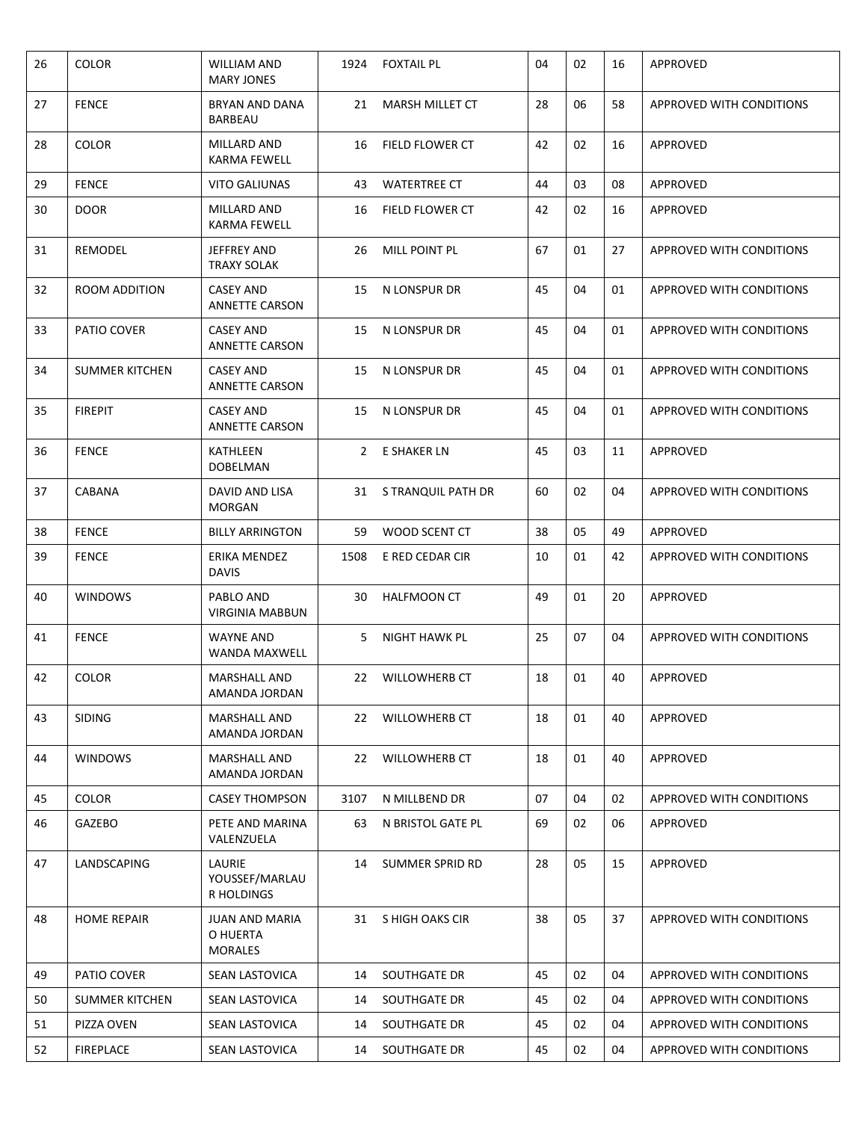| 26 | <b>COLOR</b>          | <b>WILLIAM AND</b><br><b>MARY JONES</b>             | 1924 | <b>FOXTAIL PL</b>      | 04 | 02 | 16 | APPROVED                        |
|----|-----------------------|-----------------------------------------------------|------|------------------------|----|----|----|---------------------------------|
| 27 | <b>FENCE</b>          | BRYAN AND DANA<br>BARBEAU                           | 21   | <b>MARSH MILLET CT</b> | 28 | 06 | 58 | <b>APPROVED WITH CONDITIONS</b> |
| 28 | <b>COLOR</b>          | MILLARD AND<br>KARMA FEWELL                         | 16   | <b>FIELD FLOWER CT</b> | 42 | 02 | 16 | APPROVED                        |
| 29 | <b>FENCE</b>          | <b>VITO GALIUNAS</b>                                | 43   | <b>WATERTREE CT</b>    | 44 | 03 | 08 | APPROVED                        |
| 30 | <b>DOOR</b>           | MILLARD AND<br><b>KARMA FEWELL</b>                  | 16   | FIELD FLOWER CT        | 42 | 02 | 16 | <b>APPROVED</b>                 |
| 31 | REMODEL               | JEFFREY AND<br>TRAXY SOLAK                          | 26   | <b>MILL POINT PL</b>   | 67 | 01 | 27 | <b>APPROVED WITH CONDITIONS</b> |
| 32 | ROOM ADDITION         | CASEY AND<br>ANNETTE CARSON                         | 15   | N LONSPUR DR           | 45 | 04 | 01 | APPROVED WITH CONDITIONS        |
| 33 | PATIO COVER           | <b>CASEY AND</b><br><b>ANNETTE CARSON</b>           | 15   | N LONSPUR DR           | 45 | 04 | 01 | <b>APPROVED WITH CONDITIONS</b> |
| 34 | <b>SUMMER KITCHEN</b> | <b>CASEY AND</b><br><b>ANNETTE CARSON</b>           | 15   | N LONSPUR DR           | 45 | 04 | 01 | <b>APPROVED WITH CONDITIONS</b> |
| 35 | <b>FIREPIT</b>        | <b>CASEY AND</b><br><b>ANNETTE CARSON</b>           | 15   | N LONSPUR DR           | 45 | 04 | 01 | <b>APPROVED WITH CONDITIONS</b> |
| 36 | <b>FENCE</b>          | KATHLEEN<br>DOBELMAN                                | 2    | E SHAKER LN            | 45 | 03 | 11 | <b>APPROVED</b>                 |
| 37 | CABANA                | DAVID AND LISA<br><b>MORGAN</b>                     |      | 31 STRANQUIL PATH DR   | 60 | 02 | 04 | <b>APPROVED WITH CONDITIONS</b> |
| 38 | <b>FENCE</b>          | <b>BILLY ARRINGTON</b>                              | 59   | WOOD SCENT CT          | 38 | 05 | 49 | <b>APPROVED</b>                 |
| 39 | <b>FENCE</b>          | ERIKA MENDEZ<br><b>DAVIS</b>                        | 1508 | E RED CEDAR CIR        | 10 | 01 | 42 | <b>APPROVED WITH CONDITIONS</b> |
| 40 | <b>WINDOWS</b>        | PABLO AND<br><b>VIRGINIA MABBUN</b>                 | 30   | <b>HALFMOON CT</b>     | 49 | 01 | 20 | APPROVED                        |
| 41 | <b>FENCE</b>          | WAYNE AND<br><b>WANDA MAXWELL</b>                   | 5    | NIGHT HAWK PL          | 25 | 07 | 04 | <b>APPROVED WITH CONDITIONS</b> |
| 42 | <b>COLOR</b>          | <b>MARSHALL AND</b><br>AMANDA JORDAN                | 22   | <b>WILLOWHERB CT</b>   | 18 | 01 | 40 | APPROVED                        |
| 43 | <b>SIDING</b>         | <b>MARSHALL AND</b><br>AMANDA JORDAN                | 22   | WILLOWHERB CT          | 18 | 01 | 40 | APPROVED                        |
| 44 | <b>WINDOWS</b>        | <b>MARSHALL AND</b><br>AMANDA JORDAN                | 22   | <b>WILLOWHERB CT</b>   | 18 | 01 | 40 | APPROVED                        |
| 45 | <b>COLOR</b>          | <b>CASEY THOMPSON</b>                               | 3107 | N MILLBEND DR          | 07 | 04 | 02 | APPROVED WITH CONDITIONS        |
| 46 | GAZEBO                | PETE AND MARINA<br>VALENZUELA                       | 63   | N BRISTOL GATE PL      | 69 | 02 | 06 | APPROVED                        |
| 47 | LANDSCAPING           | <b>LAURIE</b><br>YOUSSEF/MARLAU<br>R HOLDINGS       | 14   | <b>SUMMER SPRID RD</b> | 28 | 05 | 15 | APPROVED                        |
| 48 | <b>HOME REPAIR</b>    | <b>JUAN AND MARIA</b><br>O HUERTA<br><b>MORALES</b> | 31   | S HIGH OAKS CIR        | 38 | 05 | 37 | APPROVED WITH CONDITIONS        |
| 49 | PATIO COVER           | SEAN LASTOVICA                                      | 14   | SOUTHGATE DR           | 45 | 02 | 04 | APPROVED WITH CONDITIONS        |
| 50 | <b>SUMMER KITCHEN</b> | SEAN LASTOVICA                                      | 14   | SOUTHGATE DR           | 45 | 02 | 04 | APPROVED WITH CONDITIONS        |
| 51 | PIZZA OVEN            | SEAN LASTOVICA                                      | 14   | SOUTHGATE DR           | 45 | 02 | 04 | APPROVED WITH CONDITIONS        |
| 52 | <b>FIREPLACE</b>      | SEAN LASTOVICA                                      | 14   | SOUTHGATE DR           | 45 | 02 | 04 | APPROVED WITH CONDITIONS        |